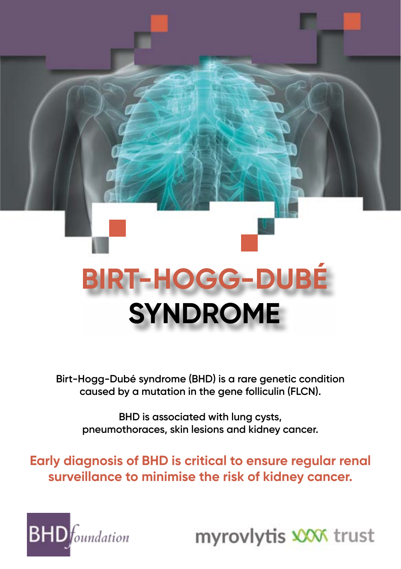

**Birt-Hogg-Dubé syndrome (BHD) is a rare genetic condition caused by a mutation in the gene folliculin (FLCN).**

**BHD is associated with lung cysts, pneumothoraces, skin lesions and kidney cancer.** 

**Early diagnosis of BHD is critical to ensure regular renal surveillance to minimise the risk of kidney cancer.** 



myrovlytis XXX trust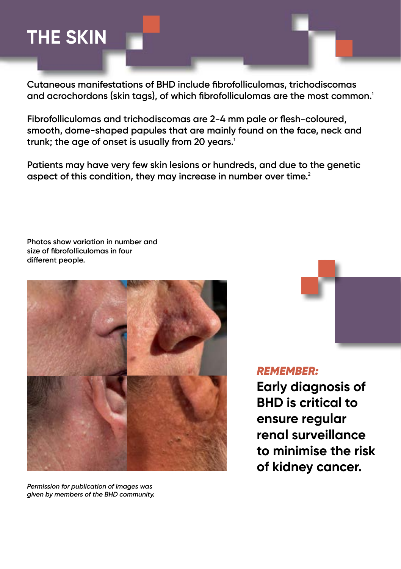### **THE SKIN**

**Cutaneous manifestations of BHD include fibrofolliculomas, trichodiscomas and acrochordons (skin tags), of which fibrofolliculomas are the most common.<sup>1</sup>**

**Fibrofolliculomas and trichodiscomas are 2-4 mm pale or flesh-coloured, smooth, dome-shaped papules that are mainly found on the face, neck and trunk; the age of onset is usually from 20 years.1**

**Patients may have very few skin lesions or hundreds, and due to the genetic aspect of this condition, they may increase in number over time.2**

**Photos show variation in number and size of fibrofolliculomas in four different people.** 



*Permission for publication of images was given by members of the BHD community.*  *REMEMBER:*

**Early diagnosis of BHD is critical to ensure regular renal surveillance to minimise the risk of kidney cancer.**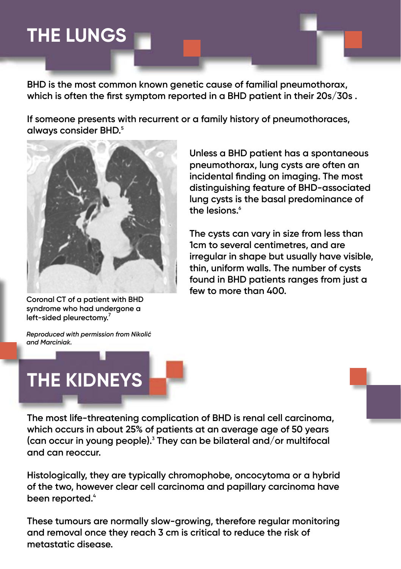### **THE LUNGS**

**BHD is the most common known genetic cause of familial pneumothorax, which is often the first symptom reported in a BHD patient in their 20s/30s .** 

**If someone presents with recurrent or a family history of pneumothoraces, always consider BHD.5**



**Coronal CT of a patient with BHD syndrome who had undergone a left-sided pleurectomy.7**

**Unless a BHD patient has a spontaneous pneumothorax, lung cysts are often an incidental finding on imaging. The most distinguishing feature of BHD-associated lung cysts is the basal predominance of the lesions.6**

**The cysts can vary in size from less than 1cm to several centimetres, and are irregular in shape but usually have visible, thin, uniform walls. The number of cysts found in BHD patients ranges from just a few to more than 400.**





**The most life-threatening complication of BHD is renal cell carcinoma, which occurs in about 25% of patients at an average age of 50 years (can occur in young people).<sup>3</sup> They can be bilateral and/or multifocal and can reoccur.** 

**Histologically, they are typically chromophobe, oncocytoma or a hybrid of the two, however clear cell carcinoma and papillary carcinoma have been reported.4**

**These tumours are normally slow-growing, therefore regular monitoring and removal once they reach 3 cm is critical to reduce the risk of metastatic disease.**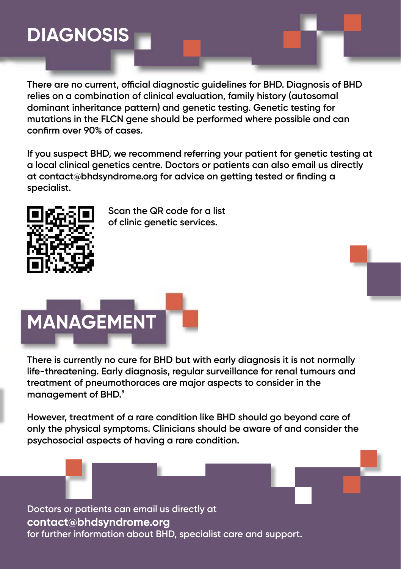## **DIAGNOSIS**

**There are no current, official diagnostic guidelines for BHD. Diagnosis of BHD relies on a combination of clinical evaluation, family history (autosomal dominant inheritance pattern) and genetic testing. Genetic testing for mutations in the FLCN gene should be performed where possible and can confirm over 90% of cases.** 

**If you suspect BHD, we recommend referring your patient for genetic testing at a local clinical genetics centre. Doctors or patients can also email us directly at contact@bhdsyndrome.org for advice on getting tested or finding a specialist.** 



**Scan the QR code for a list of clinic genetic services.** 

# **MANAGEMENT**

**There is currently no cure for BHD but with early diagnosis it is not normally life-threatening. Early diagnosis, regular surveillance for renal tumours and treatment of pneumothoraces are major aspects to consider in the management of BHD.8**

**However, treatment of a rare condition like BHD should go beyond care of only the physical symptoms. Clinicians should be aware of and consider the psychosocial aspects of having a rare condition.** 

**Doctors or patients can email us directly at contact@bhdsyndrome.org for further information about BHD, specialist care and support.**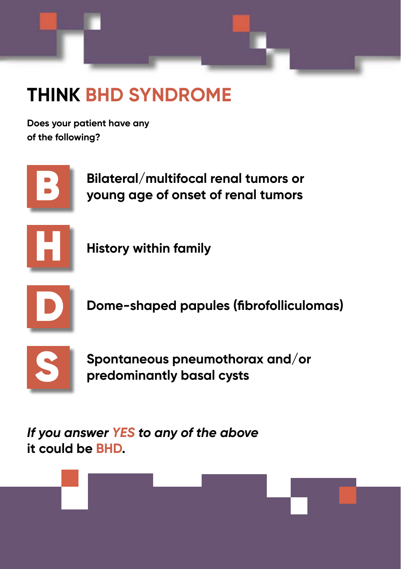

## **THINK BHD SYNDROME**

**Does your patient have any of the following?**



**Bilateral/multifocal renal tumors or young age of onset of renal tumors**



**History within family**



**Dome-shaped papules (fibrofolliculomas)**



**Spontaneous pneumothorax and/or predominantly basal cysts** 

*If you answer YES to any of the above* **it could be BHD.**